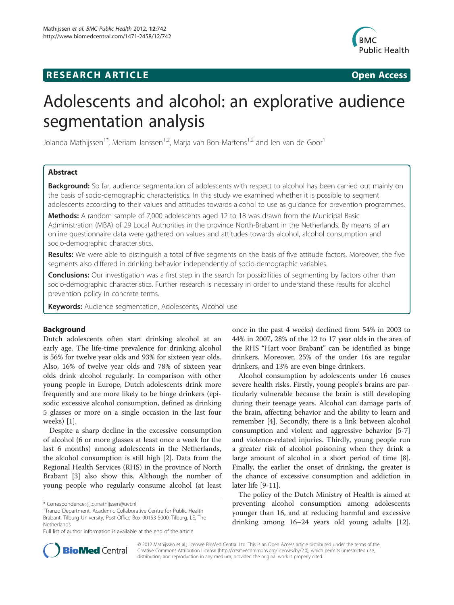# **RESEARCH ARTICLE Example 2018 12:00 Open Access**



# Adolescents and alcohol: an explorative audience segmentation analysis

Jolanda Mathijssen<sup>1\*</sup>, Meriam Janssen<sup>1,2</sup>, Marja van Bon-Martens<sup>1,2</sup> and Ien van de Goor<sup>1</sup>

# Abstract

Background: So far, audience segmentation of adolescents with respect to alcohol has been carried out mainly on the basis of socio-demographic characteristics. In this study we examined whether it is possible to segment adolescents according to their values and attitudes towards alcohol to use as guidance for prevention programmes.

Methods: A random sample of 7,000 adolescents aged 12 to 18 was drawn from the Municipal Basic Administration (MBA) of 29 Local Authorities in the province North-Brabant in the Netherlands. By means of an online questionnaire data were gathered on values and attitudes towards alcohol, alcohol consumption and socio-demographic characteristics.

Results: We were able to distinguish a total of five segments on the basis of five attitude factors. Moreover, the five segments also differed in drinking behavior independently of socio-demographic variables.

**Conclusions:** Our investigation was a first step in the search for possibilities of segmenting by factors other than socio-demographic characteristics. Further research is necessary in order to understand these results for alcohol prevention policy in concrete terms.

Keywords: Audience segmentation, Adolescents, Alcohol use

# Background

Dutch adolescents often start drinking alcohol at an early age. The life-time prevalence for drinking alcohol is 56% for twelve year olds and 93% for sixteen year olds. Also, 16% of twelve year olds and 78% of sixteen year olds drink alcohol regularly. In comparison with other young people in Europe, Dutch adolescents drink more frequently and are more likely to be binge drinkers (episodic excessive alcohol consumption, defined as drinking 5 glasses or more on a single occasion in the last four weeks) [\[1](#page-9-0)].

Despite a sharp decline in the excessive consumption of alcohol (6 or more glasses at least once a week for the last 6 months) among adolescents in the Netherlands, the alcohol consumption is still high [\[2](#page-9-0)]. Data from the Regional Health Services (RHS) in the province of North Brabant [[3](#page-9-0)] also show this. Although the number of young people who regularly consume alcohol (at least

once in the past 4 weeks) declined from 54% in 2003 to 44% in 2007, 28% of the 12 to 17 year olds in the area of the RHS "Hart voor Brabant" can be identified as binge drinkers. Moreover, 25% of the under 16s are regular drinkers, and 13% are even binge drinkers.

Alcohol consumption by adolescents under 16 causes severe health risks. Firstly, young people's brains are particularly vulnerable because the brain is still developing during their teenage years. Alcohol can damage parts of the brain, affecting behavior and the ability to learn and remember [[4\]](#page-9-0). Secondly, there is a link between alcohol consumption and violent and aggressive behavior [\[5-7](#page-9-0)] and violence-related injuries. Thirdly, young people run a greater risk of alcohol poisoning when they drink a large amount of alcohol in a short period of time [\[8](#page-9-0)]. Finally, the earlier the onset of drinking, the greater is the chance of excessive consumption and addiction in later life [\[9](#page-9-0)-[11\]](#page-9-0).

The policy of the Dutch Ministry of Health is aimed at preventing alcohol consumption among adolescents younger than 16, and at reducing harmful and excessive drinking among 16–24 years old young adults [\[12](#page-9-0)].



© 2012 Mathijssen et al.; licensee BioMed Central Ltd. This is an Open Access article distributed under the terms of the Creative Commons Attribution License (<http://creativecommons.org/licenses/by/2.0>), which permits unrestricted use, distribution, and reproduction in any medium, provided the original work is properly cited.

<sup>\*</sup> Correspondence: [j.j.p.mathijssen@uvt.nl](mailto:j.j.p.mathijssen@uvt.nl) <sup>1</sup>

Tranzo Department, Academic Collaborative Centre for Public Health Brabant, Tilburg University, Post Office Box 90153 5000, Tilburg, LE, The Netherlands

Full list of author information is available at the end of the article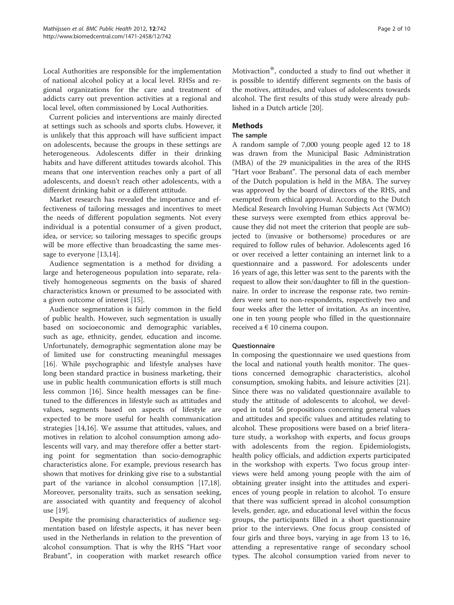Local Authorities are responsible for the implementation of national alcohol policy at a local level. RHSs and regional organizations for the care and treatment of addicts carry out prevention activities at a regional and local level, often commissioned by Local Authorities.

Current policies and interventions are mainly directed at settings such as schools and sports clubs. However, it is unlikely that this approach will have sufficient impact on adolescents, because the groups in these settings are heterogeneous. Adolescents differ in their drinking habits and have different attitudes towards alcohol. This means that one intervention reaches only a part of all adolescents, and doesn't reach other adolescents, with a different drinking habit or a different attitude.

Market research has revealed the importance and effectiveness of tailoring messages and incentives to meet the needs of different population segments. Not every individual is a potential consumer of a given product, idea, or service; so tailoring messages to specific groups will be more effective than broadcasting the same message to everyone [[13](#page-9-0),[14](#page-9-0)].

Audience segmentation is a method for dividing a large and heterogeneous population into separate, relatively homogeneous segments on the basis of shared characteristics known or presumed to be associated with a given outcome of interest [[15\]](#page-9-0).

Audience segmentation is fairly common in the field of public health. However, such segmentation is usually based on socioeconomic and demographic variables, such as age, ethnicity, gender, education and income. Unfortunately, demographic segmentation alone may be of limited use for constructing meaningful messages [[16\]](#page-9-0). While psychographic and lifestyle analyses have long been standard practice in business marketing, their use in public health communication efforts is still much less common [\[16](#page-9-0)]. Since health messages can be finetuned to the differences in lifestyle such as attitudes and values, segments based on aspects of lifestyle are expected to be more useful for health communication strategies [[14,16](#page-9-0)]. We assume that attitudes, values, and motives in relation to alcohol consumption among adolescents will vary, and may therefore offer a better starting point for segmentation than socio-demographic characteristics alone. For example, previous research has shown that motives for drinking give rise to a substantial part of the variance in alcohol consumption [\[17,18](#page-9-0)]. Moreover, personality traits, such as sensation seeking, are associated with quantity and frequency of alcohol use [\[19](#page-9-0)].

Despite the promising characteristics of audience segmentation based on lifestyle aspects, it has never been used in the Netherlands in relation to the prevention of alcohol consumption. That is why the RHS "Hart voor Brabant", in cooperation with market research office Motivaction $^{\circledR}$ , conducted a study to find out whether it is possible to identify different segments on the basis of the motives, attitudes, and values of adolescents towards alcohol. The first results of this study were already published in a Dutch article [\[20](#page-9-0)].

# Methods

# The sample

A random sample of 7,000 young people aged 12 to 18 was drawn from the Municipal Basic Administration (MBA) of the 29 municipalities in the area of the RHS "Hart voor Brabant". The personal data of each member of the Dutch population is held in the MBA. The survey was approved by the board of directors of the RHS, and exempted from ethical approval. According to the Dutch Medical Research Involving Human Subjects Act (WMO) these surveys were exempted from ethics approval because they did not meet the criterion that people are subjected to (invasive or bothersome) procedures or are required to follow rules of behavior. Adolescents aged 16 or over received a letter containing an internet link to a questionnaire and a password. For adolescents under 16 years of age, this letter was sent to the parents with the request to allow their son/daughter to fill in the questionnaire. In order to increase the response rate, two reminders were sent to non-respondents, respectively two and four weeks after the letter of invitation. As an incentive, one in ten young people who filled in the questionnaire received a  $\epsilon$  10 cinema coupon.

# **Ouestionnaire**

In composing the questionnaire we used questions from the local and national youth health monitor. The questions concerned demographic characteristics, alcohol consumption, smoking habits, and leisure activities [\[21](#page-9-0)]. Since there was no validated questionnaire available to study the attitude of adolescents to alcohol, we developed in total 56 propositions concerning general values and attitudes and specific values and attitudes relating to alcohol. These propositions were based on a brief literature study, a workshop with experts, and focus groups with adolescents from the region. Epidemiologists, health policy officials, and addiction experts participated in the workshop with experts. Two focus group interviews were held among young people with the aim of obtaining greater insight into the attitudes and experiences of young people in relation to alcohol. To ensure that there was sufficient spread in alcohol consumption levels, gender, age, and educational level within the focus groups, the participants filled in a short questionnaire prior to the interviews. One focus group consisted of four girls and three boys, varying in age from 13 to 16, attending a representative range of secondary school types. The alcohol consumption varied from never to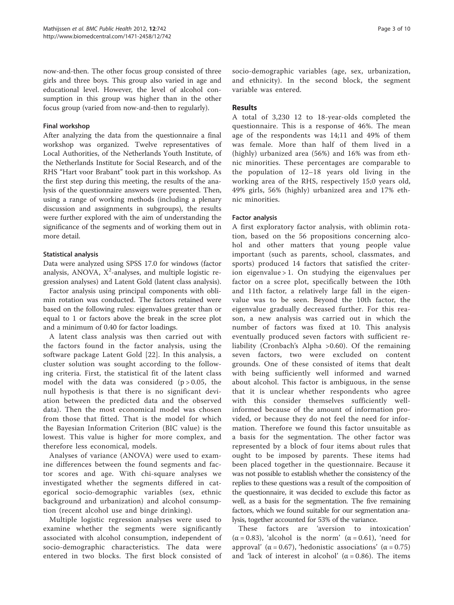now-and-then. The other focus group consisted of three girls and three boys. This group also varied in age and educational level. However, the level of alcohol consumption in this group was higher than in the other focus group (varied from now-and-then to regularly).

# Final workshop

After analyzing the data from the questionnaire a final workshop was organized. Twelve representatives of Local Authorities, of the Netherlands Youth Institute, of the Netherlands Institute for Social Research, and of the RHS "Hart voor Brabant" took part in this workshop. As the first step during this meeting, the results of the analysis of the questionnaire answers were presented. Then, using a range of working methods (including a plenary discussion and assignments in subgroups), the results were further explored with the aim of understanding the significance of the segments and of working them out in more detail.

# Statistical analysis

Data were analyzed using SPSS 17.0 for windows (factor analysis, ANOVA,  $X^2$ -analyses, and multiple logistic regression analyses) and Latent Gold (latent class analysis).

Factor analysis using principal components with oblimin rotation was conducted. The factors retained were based on the following rules: eigenvalues greater than or equal to 1 or factors above the break in the scree plot and a minimum of 0.40 for factor loadings.

A latent class analysis was then carried out with the factors found in the factor analysis, using the software package Latent Gold [[22](#page-9-0)]. In this analysis, a cluster solution was sought according to the following criteria. First, the statistical fit of the latent class model with the data was considered  $(p > 0.05$ , the null hypothesis is that there is no significant deviation between the predicted data and the observed data). Then the most economical model was chosen from those that fitted. That is the model for which the Bayesian Information Criterion (BIC value) is the lowest. This value is higher for more complex, and therefore less economical, models.

Analyses of variance (ANOVA) were used to examine differences between the found segments and factor scores and age. With chi-square analyses we investigated whether the segments differed in categorical socio-demographic variables (sex, ethnic background and urbanization) and alcohol consumption (recent alcohol use and binge drinking).

Multiple logistic regression analyses were used to examine whether the segments were significantly associated with alcohol consumption, independent of socio-demographic characteristics. The data were entered in two blocks. The first block consisted of

socio-demographic variables (age, sex, urbanization, and ethnicity). In the second block, the segment variable was entered.

# Results

A total of 3,230 12 to 18-year-olds completed the questionnaire. This is a response of 46%. The mean age of the respondents was 14;11 and 49% of them was female. More than half of them lived in a (highly) urbanized area (56%) and 16% was from ethnic minorities. These percentages are comparable to the population of 12–18 years old living in the working area of the RHS, respectively 15;0 years old, 49% girls, 56% (highly) urbanized area and 17% ethnic minorities.

## Factor analysis

A first exploratory factor analysis, with oblimin rotation, based on the 56 propositions concerning alcohol and other matters that young people value important (such as parents, school, classmates, and sports) produced 14 factors that satisfied the criterion eigenvalue  $> 1$ . On studying the eigenvalues per factor on a scree plot, specifically between the 10th and 11th factor, a relatively large fall in the eigenvalue was to be seen. Beyond the 10th factor, the eigenvalue gradually decreased further. For this reason, a new analysis was carried out in which the number of factors was fixed at 10. This analysis eventually produced seven factors with sufficient reliability (Cronbach's Alpha >0.60). Of the remaining seven factors, two were excluded on content grounds. One of these consisted of items that dealt with being sufficiently well informed and warned about alcohol. This factor is ambiguous, in the sense that it is unclear whether respondents who agree with this consider themselves sufficiently wellinformed because of the amount of information provided, or because they do not feel the need for information. Therefore we found this factor unsuitable as a basis for the segmentation. The other factor was represented by a block of four items about rules that ought to be imposed by parents. These items had been placed together in the questionnaire. Because it was not possible to establish whether the consistency of the replies to these questions was a result of the composition of the questionnaire, it was decided to exclude this factor as well, as a basis for the segmentation. The five remaining factors, which we found suitable for our segmentation analysis, together accounted for 53% of the variance.

These factors are 'aversion to intoxication' ( $\alpha$  = 0.83), 'alcohol is the norm' ( $\alpha$  = 0.61), 'need for approval' ( $\alpha$  = 0.67), 'hedonistic associations' ( $\alpha$  = 0.75) and 'lack of interest in alcohol' ( $\alpha$  = 0.86). The items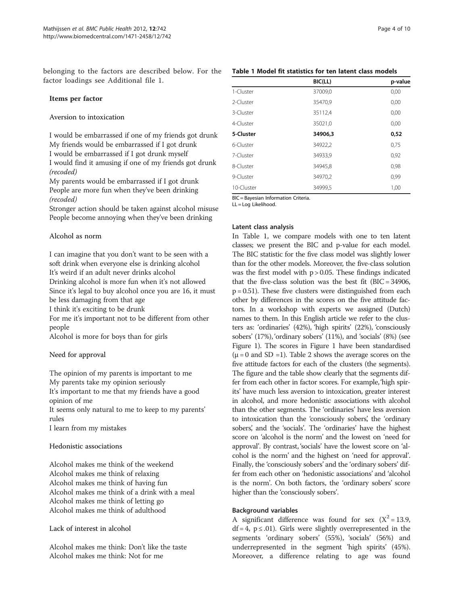belonging to the factors are described below. For the factor loadings see Additional file [1.](#page-9-0)

# Items per factor

Aversion to intoxication

I would be embarrassed if one of my friends got drunk My friends would be embarrassed if I got drunk I would be embarrassed if I got drunk myself I would find it amusing if one of my friends got drunk (recoded)

My parents would be embarrassed if I got drunk People are more fun when they've been drinking (recoded)

Stronger action should be taken against alcohol misuse People become annoying when they've been drinking

# Alcohol as norm

I can imagine that you don't want to be seen with a soft drink when everyone else is drinking alcohol It's weird if an adult never drinks alcohol Drinking alcohol is more fun when it's not allowed Since it's legal to buy alcohol once you are 16, it must be less damaging from that age

I think it's exciting to be drunk

For me it's important not to be different from other people

Alcohol is more for boys than for girls

# Need for approval

The opinion of my parents is important to me My parents take my opinion seriously It's important to me that my friends have a good opinion of me

It seems only natural to me to keep to my parents' rules

I learn from my mistakes

## Hedonistic associations

Alcohol makes me think of the weekend Alcohol makes me think of relaxing Alcohol makes me think of having fun Alcohol makes me think of a drink with a meal Alcohol makes me think of letting go Alcohol makes me think of adulthood

Lack of interest in alcohol

Alcohol makes me think: Don't like the taste Alcohol makes me think: Not for me

|           | BIC(LL) | p-value |
|-----------|---------|---------|
| 1-Cluster | 37009,0 | 0,00    |
| 2-Cluster | 35470,9 | 0,00    |
| 3-Cluster | 35112,4 | 0,00    |
| 4-Cluster | 35021,0 | 0,00    |
| 5-Cluster | 34906.3 | 0,52    |
| 6-Cluster | 34922,2 | 0.75    |

7-Cluster 34933,9 0,92 8-Cluster 34945,8 0,98 9-Cluster 34970,2 0,99

10-Cluster 34999,5 1,00

BIC = Bayesian Information Criteria. LL = Log Likelihood.

## Latent class analysis

In Table 1, we compare models with one to ten latent classes; we present the BIC and p-value for each model. The BIC statistic for the five class model was slightly lower than for the other models. Moreover, the five-class solution was the first model with  $p > 0.05$ . These findings indicated that the five-class solution was the best fit (BIC = 34906,  $p = 0.51$ ). These five clusters were distinguished from each other by differences in the scores on the five attitude factors. In a workshop with experts we assigned (Dutch) names to them. In this English article we refer to the clusters as: 'ordinaries' (42%), 'high spirits' (22%), 'consciously sobers' (17%), 'ordinary sobers' (11%), and 'socials' (8%) (see Figure [1](#page-4-0)). The scores in Figure [1](#page-4-0) have been standardised  $(\mu = 0 \text{ and SD} = 1)$ . Table [2](#page-5-0) shows the average scores on the five attitude factors for each of the clusters (the segments). The figure and the table show clearly that the segments differ from each other in factor scores. For example,'high spirits' have much less aversion to intoxication, greater interest in alcohol, and more hedonistic associations with alcohol than the other segments. The 'ordinaries' have less aversion to intoxication than the 'consciously sobers', the 'ordinary sobers', and the 'socials'. The 'ordinaries' have the highest score on 'alcohol is the norm' and the lowest on 'need for approval'. By contrast, 'socials' have the lowest score on 'alcohol is the norm' and the highest on 'need for approval'. Finally, the 'consciously sobers' and the 'ordinary sobers' differ from each other on 'hedonistic associations' and 'alcohol is the norm'. On both factors, the 'ordinary sobers' score higher than the 'consciously sobers'.

## Background variables

A significant difference was found for sex  $(X^2 = 13.9,$  $df = 4$ ,  $p \le .01$ ). Girls were slightly overrepresented in the segments 'ordinary sobers' (55%), 'socials' (56%) and underrepresented in the segment 'high spirits' (45%). Moreover, a difference relating to age was found

# Table 1 Model fit statistics for ten latent class models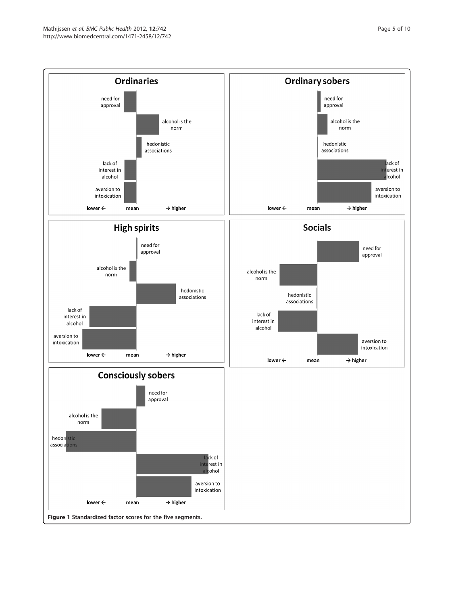<span id="page-4-0"></span>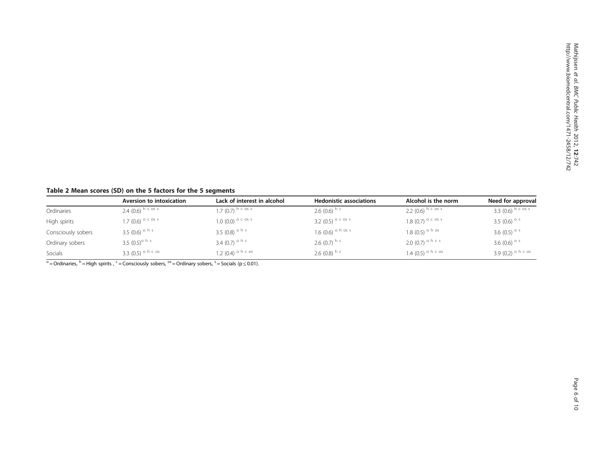# <span id="page-5-0"></span>Table 2 Mean scores (SD) on the 5 factors for the 5 segments

|                    | Aversion to intoxication     | Lack of interest in alcohol   | <b>Hedonistic associations</b>  | Alcohol is the norm             | Need for approval               |
|--------------------|------------------------------|-------------------------------|---------------------------------|---------------------------------|---------------------------------|
| Ordinaries         | 2.4 $(0.6)$ h c os s         | 1.7 (0.7) h c os s            | 2.6 $(0.6)$ h c                 | 2.2 $(0.6)$ h c os s            | 3.3 $(0.6)$ h c os s            |
| High spirits       | 1.7 (0.6) $^{\circ}$ c os s  | $1.0(0.0)^{\circ}$ C os s     | 3.2 $(0.5)$ <sup>o c os s</sup> | 1.8 $(0.7)$ <sup>o c os s</sup> | 3.5 (0.6) $^{\circ}$ s          |
| Consciously sobers | 3.5 (0.6) <sup>o h s</sup>   | 3.5 (0.8) $^{\circ}$ h s      | 1.6 $(0.6)$ <sup>o h os s</sup> | 1.8 (0.5) $\circ$ h os          | 3.6 (0.5) $\circ$ s             |
| Ordinary sobers    | 3.5 $(0.5)$ <sup>o h s</sup> | 3.4 $(0.7)$ <sup>o h s</sup>  | 2.6 (0.7) $^{\circ}$            | $2.0(0.7)$ <sup>o h c s</sup>   | 3.6 $(0.6)$ <sup>o s</sup>      |
| Socials            | 3.3 (0.5) $\circ$ h c os     | 1.2 (0.4) <sup>o h c os</sup> | 2.6 (0.8) h c                   | 1.4 (0.5) $\circ$ h c os        | 3.9 $(0.2)$ <sup>o h c os</sup> |

 $\circ$  = Ordinaries, <sup>h</sup> = High spirits,  $\circ$  = Consciously sobers,  $\circ$  = Ordinary sobers,  $\circ$  = Socials (p  $\leq$  0.01).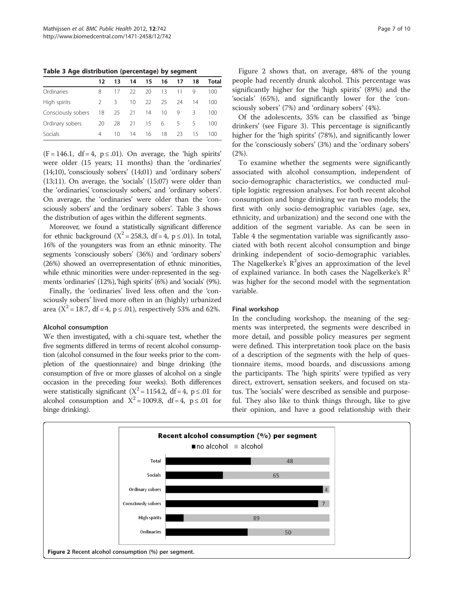Table 3 Age distribution (percentage) by segment

|                    | 12 | 13      | 14      | 15 | 16 | 17 | 18 | Total |
|--------------------|----|---------|---------|----|----|----|----|-------|
| Ordinaries         | 8  | 17      | 22      | 20 | 13 | 11 | 9  | 100   |
| High spirits       | 2  | 3       | $10 \,$ | 22 | 25 | 24 | 14 | 100   |
| Consciously sobers | 18 |         | 25 21   | 14 | 10 | 9  | 3  | 100   |
| Ordinary sobers    | 20 | 28      | 21      | 15 | 6  | 5. | -5 | 100   |
| Socials            | 4  | $10 \,$ | 14      | 16 | 18 | 23 | 15 | 100   |

 $(F = 146.1, df = 4, p \le .01)$ . On average, the 'high spirits' were older (15 years; 11 months) than the 'ordinaries' (14;10), 'consciously sobers' (14;01) and 'ordinary sobers' (13;11). On average, the 'socials' (15;07) were older than the 'ordinaries', 'consciously sobers', and 'ordinary sobers'. On average, the 'ordinaries' were older than the 'consciously sobers' and the 'ordinary sobers'. Table 3 shows the distribution of ages within the different segments.

Moreover, we found a statistically significant difference for ethnic background ( $X^2 = 258.3$ , df = 4, p  $\leq$  .01). In total, 16% of the youngsters was from an ethnic minority. The segments 'consciously sobers' (36%) and 'ordinary sobers' (26%) showed an overrepresentation of ethnic minorities, while ethnic minorities were under-represented in the segments 'ordinaries' (12%), 'high spirits' (6%) and 'socials' (9%).

Finally, the 'ordinaries' lived less often and the 'consciously sobers' lived more often in an (highly) urbanized area ( $X^2 = 18.7$ , df = 4, p  $\leq$  .01), respectively 53% and 62%.

## Alcohol consumption

We then investigated, with a chi-square test, whether the five segments differed in terms of recent alcohol consumption (alcohol consumed in the four weeks prior to the completion of the questionnaire) and binge drinking (the consumption of five or more glasses of alcohol on a single occasion in the preceding four weeks). Both differences were statistically significant ( $X^2 = 1154.2$ , df = 4, p ≤ .01 for alcohol consumption and  $X^2 = 1009.8$ , df = 4, p ≤ .01 for binge drinking).

Figure 2 shows that, on average, 48% of the young people had recently drunk alcohol. This percentage was significantly higher for the 'high spirits' (89%) and the 'socials' (65%), and significantly lower for the 'consciously sobers' (7%) and 'ordinary sobers' (4%).

Of the adolescents, 35% can be classified as 'binge drinkers' (see Figure [3](#page-7-0)). This percentage is significantly higher for the 'high spirits' (78%), and significantly lower for the 'consciously sobers' (3%) and the 'ordinary sobers' (2%).

To examine whether the segments were significantly associated with alcohol consumption, independent of socio-demographic characteristics, we conducted multiple logistic regression analyses. For both recent alcohol consumption and binge drinking we ran two models; the first with only socio-demographic variables (age, sex, ethnicity, and urbanization) and the second one with the addition of the segment variable. As can be seen in Table [4](#page-7-0) the segmentation variable was significantly associated with both recent alcohol consumption and binge drinking independent of socio-demographic variables. The Nagelkerke's  $R^2$ gives an approximation of the level of explained variance. In both cases the Nagelkerke's  $\mathbb{R}^2$ was higher for the second model with the segmentation variable.

# Final workshop

In the concluding workshop, the meaning of the segments was interpreted, the segments were described in more detail, and possible policy measures per segment were defined. This interpretation took place on the basis of a description of the segments with the help of questionnaire items, mood boards, and discussions among the participants. The 'high spirits' were typified as very direct, extrovert, sensation seekers, and focused on status. The 'socials' were described as sensible and purposeful. They also like to think things through, like to give their opinion, and have a good relationship with their

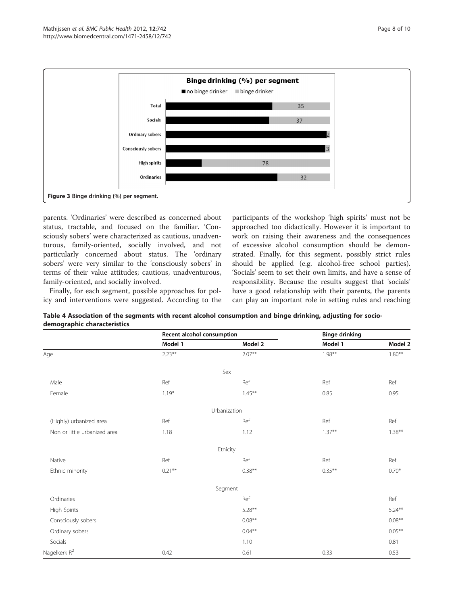<span id="page-7-0"></span>

parents. 'Ordinaries' were described as concerned about status, tractable, and focused on the familiar. 'Consciously sobers' were characterized as cautious, unadventurous, family-oriented, socially involved, and not particularly concerned about status. The 'ordinary sobers' were very similar to the 'consciously sobers' in terms of their value attitudes; cautious, unadventurous, family-oriented, and socially involved.

Finally, for each segment, possible approaches for policy and interventions were suggested. According to the

participants of the workshop 'high spirits' must not be approached too didactically. However it is important to work on raising their awareness and the consequences of excessive alcohol consumption should be demonstrated. Finally, for this segment, possibly strict rules should be applied (e.g. alcohol-free school parties). 'Socials' seem to set their own limits, and have a sense of responsibility. Because the results suggest that 'socials' have a good relationship with their parents, the parents can play an important role in setting rules and reaching

| Table 4 Association of the segments with recent alcohol consumption and binge drinking, adjusting for socio- |  |
|--------------------------------------------------------------------------------------------------------------|--|
| demographic characteristics                                                                                  |  |
|                                                                                                              |  |

|                              | Recent alcohol consumption |              | <b>Binge drinking</b> |           |
|------------------------------|----------------------------|--------------|-----------------------|-----------|
|                              | Model 1                    | Model 2      | Model 1               | Model 2   |
| Age                          | $2.23**$                   | $2.07**$     | $1.98**$              | $1.80**$  |
|                              |                            | Sex          |                       |           |
| Male                         | Ref                        | Ref          | Ref                   | Ref       |
| Female                       | $1.19*$                    | $1.45***$    | 0.85                  | 0.95      |
|                              |                            | Urbanization |                       |           |
| (Highly) urbanized area      | Ref                        | Ref          | Ref                   | Ref       |
| Non or little urbanized area | 1.18                       | 1.12         | $1.37**$              | $1.38***$ |
|                              |                            | Etnicity     |                       |           |
| Native                       | Ref                        | Ref          | Ref                   | Ref       |
| Ethnic minority              | $0.21***$                  | $0.38**$     | $0.35***$             | $0.70*$   |
|                              |                            | Segment      |                       |           |
| Ordinaries                   |                            | Ref          |                       | Ref       |
| High Spirits                 |                            | $5.28**$     |                       | $5.24***$ |
| Consciously sobers           |                            | $0.08**$     |                       | $0.08**$  |
| Ordinary sobers              |                            | $0.04***$    |                       | $0.05***$ |
| Socials                      |                            | 1.10         |                       | 0.81      |
| Nagelkerk R <sup>2</sup>     | 0.42                       | 0.61         | 0.33                  | 0.53      |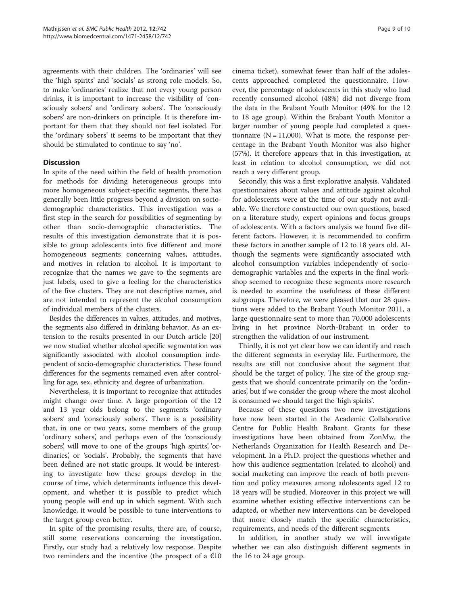agreements with their children. The 'ordinaries' will see the 'high spirits' and 'socials' as strong role models. So, to make 'ordinaries' realize that not every young person drinks, it is important to increase the visibility of 'consciously sobers' and 'ordinary sobers'. The 'consciously sobers' are non-drinkers on principle. It is therefore important for them that they should not feel isolated. For the 'ordinary sobers' it seems to be important that they should be stimulated to continue to say 'no'.

# **Discussion**

In spite of the need within the field of health promotion for methods for dividing heterogeneous groups into more homogeneous subject-specific segments, there has generally been little progress beyond a division on sociodemographic characteristics. This investigation was a first step in the search for possibilities of segmenting by other than socio-demographic characteristics. The results of this investigation demonstrate that it is possible to group adolescents into five different and more homogeneous segments concerning values, attitudes, and motives in relation to alcohol. It is important to recognize that the names we gave to the segments are just labels, used to give a feeling for the characteristics of the five clusters. They are not descriptive names, and are not intended to represent the alcohol consumption of individual members of the clusters.

Besides the differences in values, attitudes, and motives, the segments also differed in drinking behavior. As an extension to the results presented in our Dutch article [\[20](#page-9-0)] we now studied whether alcohol specific segmentation was significantly associated with alcohol consumption independent of socio-demographic characteristics. These found differences for the segments remained even after controlling for age, sex, ethnicity and degree of urbanization.

Nevertheless, it is important to recognize that attitudes might change over time. A large proportion of the 12 and 13 year olds belong to the segments 'ordinary sobers' and 'consciously sobers'. There is a possibility that, in one or two years, some members of the group 'ordinary sobers', and perhaps even of the 'consciously sobers', will move to one of the groups 'high spirits', 'ordinaries', or 'socials'. Probably, the segments that have been defined are not static groups. It would be interesting to investigate how these groups develop in the course of time, which determinants influence this development, and whether it is possible to predict which young people will end up in which segment. With such knowledge, it would be possible to tune interventions to the target group even better.

In spite of the promising results, there are, of course, still some reservations concerning the investigation. Firstly, our study had a relatively low response. Despite two reminders and the incentive (the prospect of a  $€10$ 

cinema ticket), somewhat fewer than half of the adolescents approached completed the questionnaire. However, the percentage of adolescents in this study who had recently consumed alcohol (48%) did not diverge from the data in the Brabant Youth Monitor (49% for the 12 to 18 age group). Within the Brabant Youth Monitor a larger number of young people had completed a questionnaire ( $N = 11,000$ ). What is more, the response percentage in the Brabant Youth Monitor was also higher (57%). It therefore appears that in this investigation, at least in relation to alcohol consumption, we did not reach a very different group.

Secondly, this was a first explorative analysis. Validated questionnaires about values and attitude against alcohol for adolescents were at the time of our study not available. We therefore constructed our own questions, based on a literature study, expert opinions and focus groups of adolescents. With a factors analysis we found five different factors. However, it is recommended to confirm these factors in another sample of 12 to 18 years old. Although the segments were significantly associated with alcohol consumption variables independently of sociodemographic variables and the experts in the final workshop seemed to recognize these segments more research is needed to examine the usefulness of these different subgroups. Therefore, we were pleased that our 28 questions were added to the Brabant Youth Monitor 2011, a large questionnaire sent to more than 70,000 adolescents living in het province North-Brabant in order to strengthen the validation of our instrument.

Thirdly, it is not yet clear how we can identify and reach the different segments in everyday life. Furthermore, the results are still not conclusive about the segment that should be the target of policy. The size of the group suggests that we should concentrate primarily on the 'ordinaries', but if we consider the group where the most alcohol is consumed we should target the 'high spirits'.

Because of these questions two new investigations have now been started in the Academic Collaborative Centre for Public Health Brabant. Grants for these investigations have been obtained from ZonMw, the Netherlands Organization for Health Research and Development. In a Ph.D. project the questions whether and how this audience segmentation (related to alcohol) and social marketing can improve the reach of both prevention and policy measures among adolescents aged 12 to 18 years will be studied. Moreover in this project we will examine whether existing effective interventions can be adapted, or whether new interventions can be developed that more closely match the specific characteristics, requirements, and needs of the different segments.

In addition, in another study we will investigate whether we can also distinguish different segments in the 16 to 24 age group.